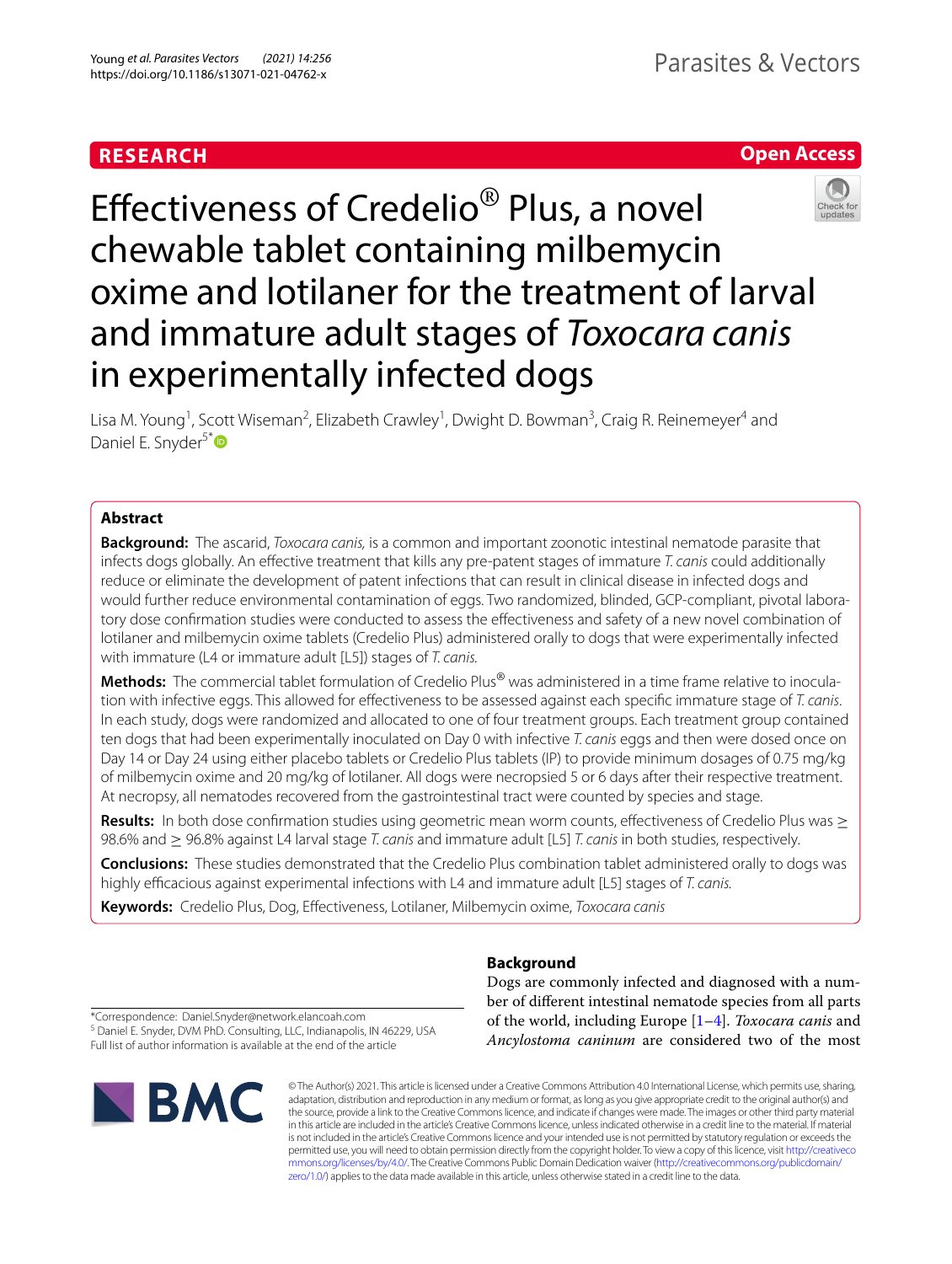# **RESEARCH**

# **Open Access**



Efectiveness of Credelio® Plus, a novel chewable tablet containing milbemycin oxime and lotilaner for the treatment of larval and immature adult stages of *Toxocara canis* in experimentally infected dogs

Lisa M. Young<sup>1</sup>, Scott Wiseman<sup>2</sup>, Elizabeth Crawley<sup>1</sup>, Dwight D. Bowman<sup>3</sup>, Craig R. Reinemeyer<sup>4</sup> and Daniel E. Snyder<sup>5[\\*](http://orcid.org/0000-0002-4091-6297)</sup>

# **Abstract**

**Background:** The ascarid, *Toxocara canis,* is a common and important zoonotic intestinal nematode parasite that infects dogs globally. An efective treatment that kills any pre-patent stages of immature *T. canis* could additionally reduce or eliminate the development of patent infections that can result in clinical disease in infected dogs and would further reduce environmental contamination of eggs. Two randomized, blinded, GCP-compliant, pivotal laboratory dose confrmation studies were conducted to assess the efectiveness and safety of a new novel combination of lotilaner and milbemycin oxime tablets (Credelio Plus) administered orally to dogs that were experimentally infected with immature (L4 or immature adult [L5]) stages of *T. canis.*

**Methods:** The commercial tablet formulation of Credelio Plus® was administered in a time frame relative to inoculation with infective eggs. This allowed for efectiveness to be assessed against each specifc immature stage of *T. canis*. In each study, dogs were randomized and allocated to one of four treatment groups. Each treatment group contained ten dogs that had been experimentally inoculated on Day 0 with infective *T. canis* eggs and then were dosed once on Day 14 or Day 24 using either placebo tablets or Credelio Plus tablets (IP) to provide minimum dosages of 0.75 mg/kg of milbemycin oxime and 20 mg/kg of lotilaner. All dogs were necropsied 5 or 6 days after their respective treatment. At necropsy, all nematodes recovered from the gastrointestinal tract were counted by species and stage.

**Results:** In both dose confirmation studies using geometric mean worm counts, effectiveness of Credelio Plus was ≥ 98.6% and ≥ 96.8% against L4 larval stage *T. canis* and immature adult [L5] *T. canis* in both studies, respectively.

**Conclusions:** These studies demonstrated that the Credelio Plus combination tablet administered orally to dogs was highly efficacious against experimental infections with L4 and immature adult [L5] stages of *T. canis.* 

**Keywords:** Credelio Plus, Dog, Efectiveness, Lotilaner, Milbemycin oxime, *Toxocara canis*

# **Background**

Dogs are commonly infected and diagnosed with a number of diferent intestinal nematode species from all parts of the world, including Europe [[1–](#page-6-0)[4](#page-6-1)]. *Toxocara canis* and

*Ancylostoma caninum* are considered two of the most

\*Correspondence: Daniel.Snyder@network.elancoah.com

<sup>5</sup> Daniel E. Snyder, DVM PhD. Consulting, LLC, Indianapolis, IN 46229, USA Full list of author information is available at the end of the article



© The Author(s) 2021. This article is licensed under a Creative Commons Attribution 4.0 International License, which permits use, sharing, adaptation, distribution and reproduction in any medium or format, as long as you give appropriate credit to the original author(s) and the source, provide a link to the Creative Commons licence, and indicate if changes were made. The images or other third party material in this article are included in the article's Creative Commons licence, unless indicated otherwise in a credit line to the material. If material is not included in the article's Creative Commons licence and your intended use is not permitted by statutory regulation or exceeds the permitted use, you will need to obtain permission directly from the copyright holder. To view a copy of this licence, visit [http://creativeco](http://creativecommons.org/licenses/by/4.0/) [mmons.org/licenses/by/4.0/.](http://creativecommons.org/licenses/by/4.0/) The Creative Commons Public Domain Dedication waiver ([http://creativecommons.org/publicdomain/](http://creativecommons.org/publicdomain/zero/1.0/) [zero/1.0/\)](http://creativecommons.org/publicdomain/zero/1.0/) applies to the data made available in this article, unless otherwise stated in a credit line to the data.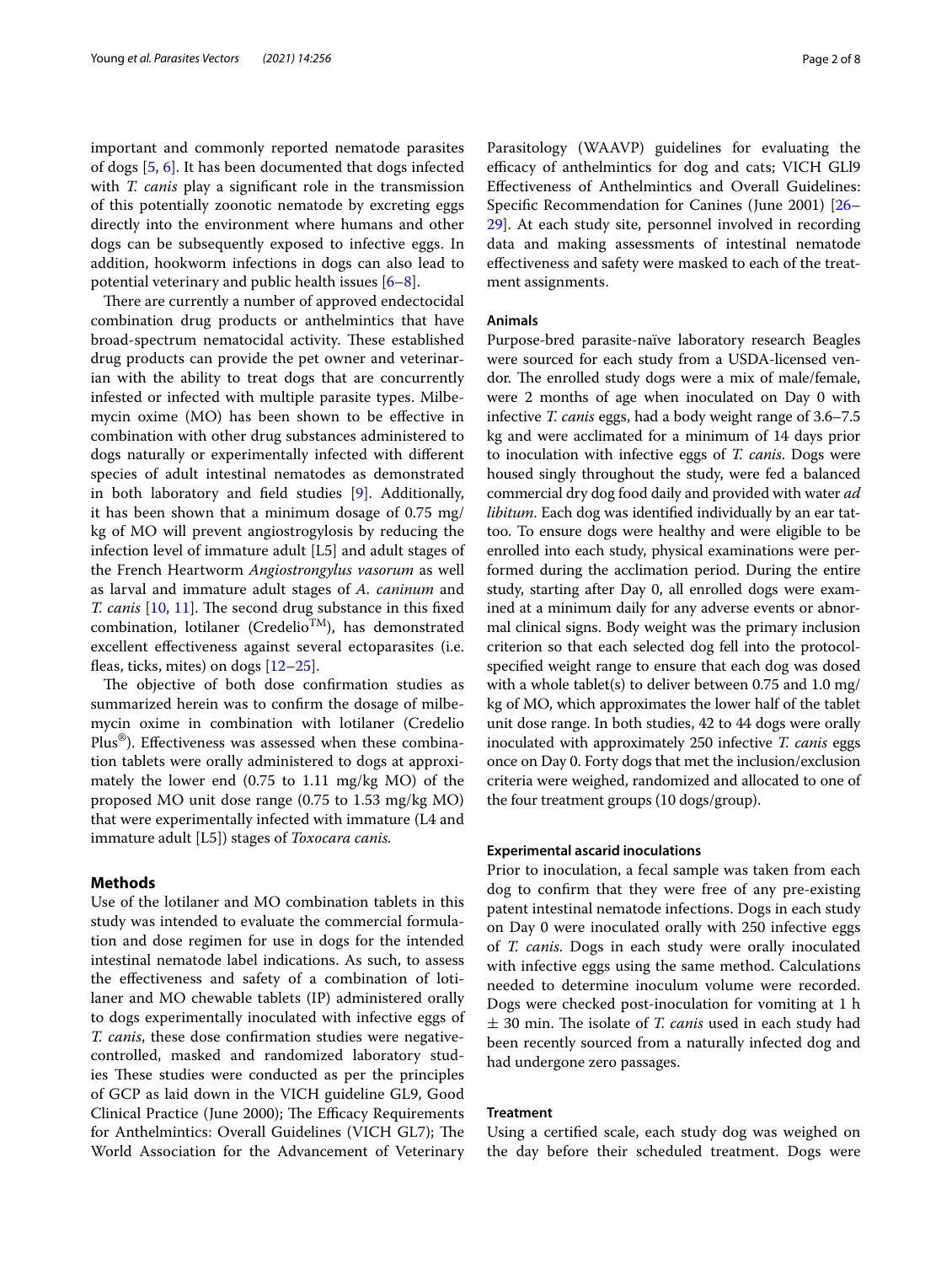important and commonly reported nematode parasites of dogs [\[5](#page-6-2), [6\]](#page-6-3). It has been documented that dogs infected with *T. canis* play a signifcant role in the transmission of this potentially zoonotic nematode by excreting eggs directly into the environment where humans and other dogs can be subsequently exposed to infective eggs. In addition, hookworm infections in dogs can also lead to potential veterinary and public health issues [[6–](#page-6-3)[8\]](#page-6-4).

There are currently a number of approved endectocidal combination drug products or anthelmintics that have broad-spectrum nematocidal activity. These established drug products can provide the pet owner and veterinarian with the ability to treat dogs that are concurrently infested or infected with multiple parasite types. Milbemycin oxime (MO) has been shown to be efective in combination with other drug substances administered to dogs naturally or experimentally infected with diferent species of adult intestinal nematodes as demonstrated in both laboratory and feld studies [[9\]](#page-6-5). Additionally, it has been shown that a minimum dosage of 0.75 mg/ kg of MO will prevent angiostrogylosis by reducing the infection level of immature adult [L5] and adult stages of the French Heartworm *Angiostrongylus vasorum* as well as larval and immature adult stages of *A. caninum* and *T. canis* [\[10,](#page-6-6) [11\]](#page-6-7). The second drug substance in this fixed combination, lotilaner (Credelio<sup>TM</sup>), has demonstrated excellent efectiveness against several ectoparasites (i.e. feas, ticks, mites) on dogs [\[12–](#page-6-8)[25\]](#page-7-0).

The objective of both dose confirmation studies as summarized herein was to confrm the dosage of milbemycin oxime in combination with lotilaner (Credelio Plus®). Efectiveness was assessed when these combination tablets were orally administered to dogs at approximately the lower end (0.75 to 1.11 mg/kg MO) of the proposed MO unit dose range (0.75 to 1.53 mg/kg MO) that were experimentally infected with immature (L4 and immature adult [L5]) stages of *Toxocara canis.*

## **Methods**

Use of the lotilaner and MO combination tablets in this study was intended to evaluate the commercial formulation and dose regimen for use in dogs for the intended intestinal nematode label indications. As such, to assess the efectiveness and safety of a combination of lotilaner and MO chewable tablets (IP) administered orally to dogs experimentally inoculated with infective eggs of *T. canis*, these dose confrmation studies were negativecontrolled, masked and randomized laboratory studies These studies were conducted as per the principles of GCP as laid down in the VICH guideline GL9, Good Clinical Practice (June 2000); The Efficacy Requirements for Anthelmintics: Overall Guidelines (VICH GL7); The World Association for the Advancement of Veterinary Parasitology (WAAVP) guidelines for evaluating the efficacy of anthelmintics for dog and cats; VICH GLI9 Efectiveness of Anthelmintics and Overall Guidelines: Specifc Recommendation for Canines (June 2001) [[26–](#page-7-1) [29\]](#page-7-2). At each study site, personnel involved in recording data and making assessments of intestinal nematode efectiveness and safety were masked to each of the treatment assignments.

## **Animals**

Purpose-bred parasite-naïve laboratory research Beagles were sourced for each study from a USDA-licensed vendor. The enrolled study dogs were a mix of male/female, were 2 months of age when inoculated on Day 0 with infective *T. canis* eggs, had a body weight range of 3.6–7.5 kg and were acclimated for a minimum of 14 days prior to inoculation with infective eggs of *T. canis*. Dogs were housed singly throughout the study, were fed a balanced commercial dry dog food daily and provided with water *ad libitum*. Each dog was identifed individually by an ear tattoo. To ensure dogs were healthy and were eligible to be enrolled into each study, physical examinations were performed during the acclimation period. During the entire study, starting after Day 0, all enrolled dogs were examined at a minimum daily for any adverse events or abnormal clinical signs. Body weight was the primary inclusion criterion so that each selected dog fell into the protocolspecifed weight range to ensure that each dog was dosed with a whole tablet(s) to deliver between 0.75 and 1.0 mg/ kg of MO, which approximates the lower half of the tablet unit dose range. In both studies, 42 to 44 dogs were orally inoculated with approximately 250 infective *T. canis* eggs once on Day 0. Forty dogs that met the inclusion/exclusion criteria were weighed, randomized and allocated to one of the four treatment groups (10 dogs/group).

## **Experimental ascarid inoculations**

Prior to inoculation, a fecal sample was taken from each dog to confrm that they were free of any pre-existing patent intestinal nematode infections. Dogs in each study on Day 0 were inoculated orally with 250 infective eggs of *T. canis*. Dogs in each study were orally inoculated with infective eggs using the same method. Calculations needed to determine inoculum volume were recorded. Dogs were checked post-inoculation for vomiting at 1 h  $\pm$  30 min. The isolate of *T. canis* used in each study had been recently sourced from a naturally infected dog and had undergone zero passages.

# **Treatment**

Using a certifed scale, each study dog was weighed on the day before their scheduled treatment. Dogs were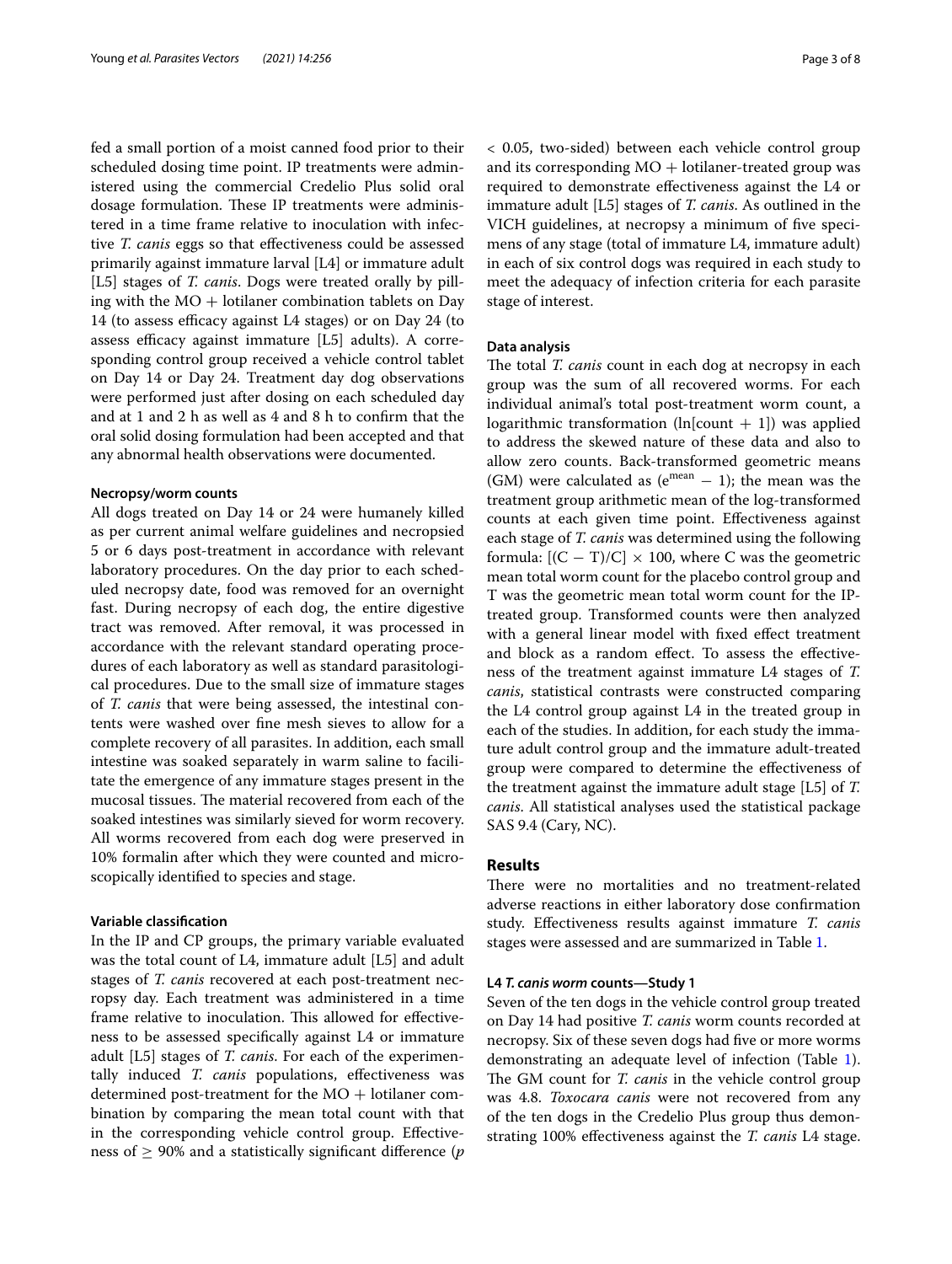fed a small portion of a moist canned food prior to their scheduled dosing time point. IP treatments were administered using the commercial Credelio Plus solid oral dosage formulation. These IP treatments were administered in a time frame relative to inoculation with infective *T. canis* eggs so that efectiveness could be assessed primarily against immature larval [L4] or immature adult [L5] stages of *T. canis*. Dogs were treated orally by pilling with the  $MO$  + lotilaner combination tablets on Day 14 (to assess efficacy against L4 stages) or on Day 24 (to assess efficacy against immature  $[L5]$  adults). A corresponding control group received a vehicle control tablet on Day 14 or Day 24. Treatment day dog observations were performed just after dosing on each scheduled day and at 1 and 2 h as well as 4 and 8 h to confrm that the oral solid dosing formulation had been accepted and that any abnormal health observations were documented.

### **Necropsy/worm counts**

All dogs treated on Day 14 or 24 were humanely killed as per current animal welfare guidelines and necropsied 5 or 6 days post-treatment in accordance with relevant laboratory procedures. On the day prior to each scheduled necropsy date, food was removed for an overnight fast. During necropsy of each dog, the entire digestive tract was removed. After removal, it was processed in accordance with the relevant standard operating procedures of each laboratory as well as standard parasitological procedures. Due to the small size of immature stages of *T. canis* that were being assessed, the intestinal contents were washed over fne mesh sieves to allow for a complete recovery of all parasites. In addition, each small intestine was soaked separately in warm saline to facilitate the emergence of any immature stages present in the mucosal tissues. The material recovered from each of the soaked intestines was similarly sieved for worm recovery. All worms recovered from each dog were preserved in 10% formalin after which they were counted and microscopically identifed to species and stage.

### **Variable classifcation**

In the IP and CP groups, the primary variable evaluated was the total count of L4, immature adult [L5] and adult stages of *T. canis* recovered at each post-treatment necropsy day. Each treatment was administered in a time frame relative to inoculation. This allowed for effectiveness to be assessed specifcally against L4 or immature adult [L5] stages of *T. canis*. For each of the experimentally induced *T. canis* populations, efectiveness was determined post-treatment for the  $MO +$  lotilaner combination by comparing the mean total count with that in the corresponding vehicle control group. Efectiveness of  $\geq$  90% and a statistically significant difference ( $p$ )

< 0.05, two-sided) between each vehicle control group and its corresponding  $MO$  + lotilaner-treated group was required to demonstrate efectiveness against the L4 or immature adult [L5] stages of *T. canis*. As outlined in the VICH guidelines, at necropsy a minimum of fve specimens of any stage (total of immature L4, immature adult) in each of six control dogs was required in each study to meet the adequacy of infection criteria for each parasite stage of interest.

# **Data analysis**

The total *T. canis* count in each dog at necropsy in each group was the sum of all recovered worms. For each individual animal's total post-treatment worm count, a logarithmic transformation (ln[count  $+$  1]) was applied to address the skewed nature of these data and also to allow zero counts. Back-transformed geometric means (GM) were calculated as ( $e^{mean} - 1$ ); the mean was the treatment group arithmetic mean of the log-transformed counts at each given time point. Efectiveness against each stage of *T. canis* was determined using the following formula:  $[(C - T)/C] \times 100$ , where C was the geometric mean total worm count for the placebo control group and T was the geometric mean total worm count for the IPtreated group. Transformed counts were then analyzed with a general linear model with fxed efect treatment and block as a random efect. To assess the efectiveness of the treatment against immature L4 stages of *T. canis*, statistical contrasts were constructed comparing the L4 control group against L4 in the treated group in each of the studies. In addition, for each study the immature adult control group and the immature adult-treated group were compared to determine the efectiveness of the treatment against the immature adult stage [L5] of *T. canis*. All statistical analyses used the statistical package SAS 9.4 (Cary, NC).

# **Results**

There were no mortalities and no treatment-related adverse reactions in either laboratory dose confrmation study. Efectiveness results against immature *T. canis* stages were assessed and are summarized in Table [1](#page-3-0).

### **L4** *T. canis worm* **counts—Study 1**

Seven of the ten dogs in the vehicle control group treated on Day 14 had positive *T. canis* worm counts recorded at necropsy. Six of these seven dogs had fve or more worms demonstrating an adequate level of infection (Table [1](#page-3-0)). The GM count for *T. canis* in the vehicle control group was 4.8. *Toxocara canis* were not recovered from any of the ten dogs in the Credelio Plus group thus demonstrating 100% efectiveness against the *T. canis* L4 stage.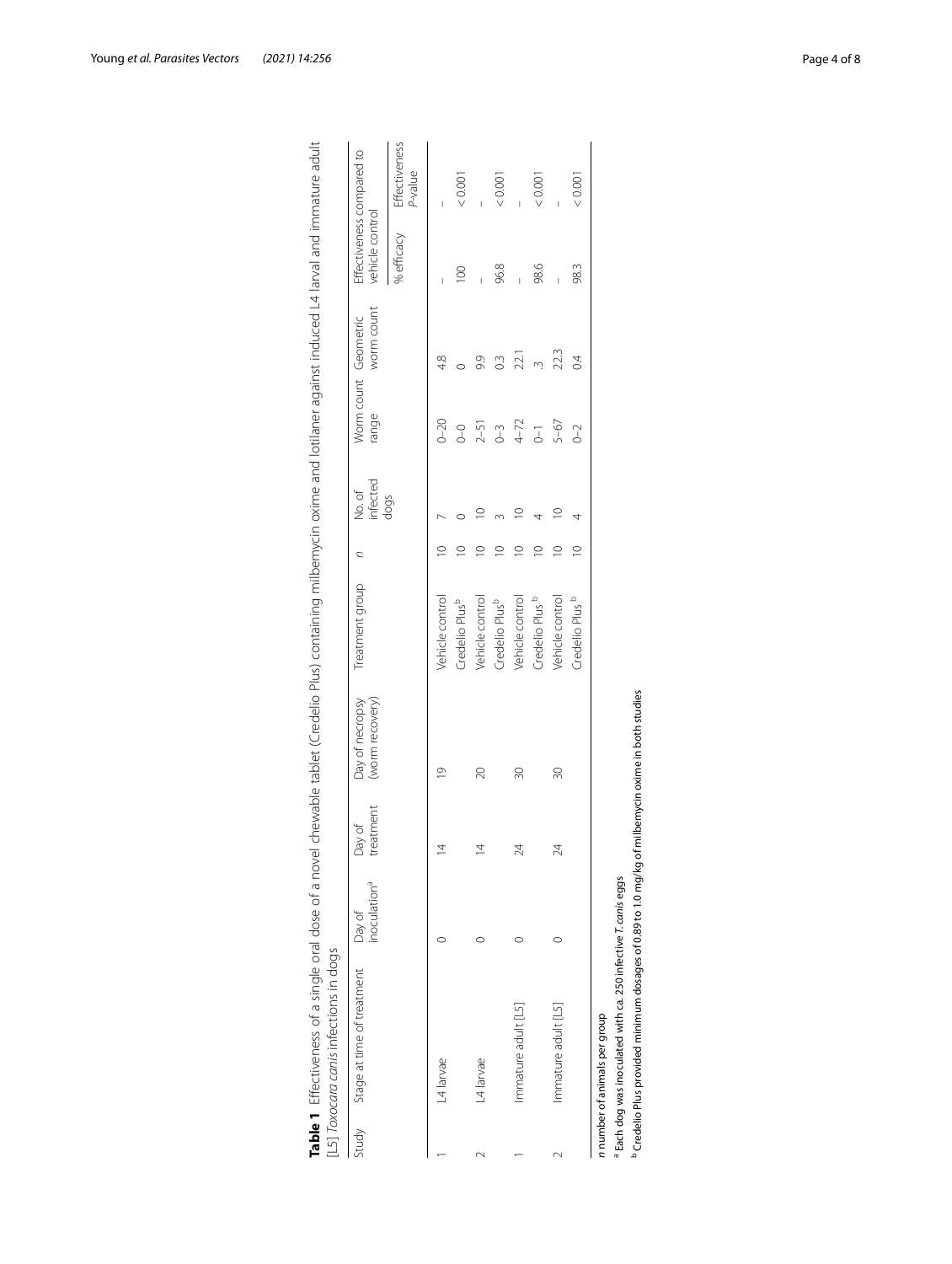| Study | Stage at time of treatment | inoculation <sup>a</sup><br>Day of | treatment<br>Day of | (worm recovery)<br>Day of necropsy | Treatment group            | C           | infected<br>No.of | range          | worm count<br>Worm count Geometric | Effectiveness compared to<br>vehicle control |                                 |
|-------|----------------------------|------------------------------------|---------------------|------------------------------------|----------------------------|-------------|-------------------|----------------|------------------------------------|----------------------------------------------|---------------------------------|
|       |                            |                                    |                     |                                    |                            |             | dogs              |                |                                    | % efficacy                                   | <b>Effectiveness</b><br>P-value |
|       | L4 larvae                  |                                    |                     | $\frac{1}{2}$                      | Vehicle control            | $\supseteq$ |                   | $0 - 20$       | 4.8                                |                                              |                                 |
|       |                            |                                    |                     |                                    | Credelio Plus <sup>b</sup> | $\supseteq$ |                   | $\sqrt{ }$     |                                    | $\overline{100}$                             | 0.001                           |
|       | L4 larvae                  |                                    |                     | 20                                 | Vehicle control            | $\supseteq$ | $\supseteq$       | $2 - 51$       | 9.9                                |                                              |                                 |
|       |                            |                                    |                     |                                    | Credelio Plus <sup>b</sup> | $\supseteq$ |                   | $0 - 3$        | $\overline{0}$                     | 96.8                                         | 0.001                           |
|       | Immature adult [L5]        |                                    | 24                  | 30                                 | Vehicle control            | $\supseteq$ |                   | $4 - 72$       | 22.1                               |                                              |                                 |
|       |                            |                                    |                     |                                    | Credelio Plus <sup>b</sup> | $\supseteq$ |                   | $\overline{d}$ |                                    | 98.6                                         | 0.001                           |
|       | Immature adult [L5]        |                                    | $\approx$           | 30                                 | Vehicle control            | $\supseteq$ |                   | 5-67           | 22.3                               |                                              |                                 |
|       |                            |                                    |                     |                                    | Credelio Plus <sup>b</sup> | $\supseteq$ |                   | $0 - 2$        | $\overline{0.4}$                   | 98.3                                         | 0.001                           |

| d<br>j<br>:<br>آ<br>$\mathbf$<br>֡֡֡֡<br>I<br>יים בי המה ו הם הומה ו הי<br>j<br>ׇ֬֘֡<br>١<br>į<br>$\frac{1}{2}$<br>١<br>I<br>$\frac{1}{2}$<br>ĺ<br>í<br>5<br>-<br>)<br>l<br>١<br>¢<br>I<br>l<br>l<br>l<br>)<br>;<br>$\overline{ }$<br>ï<br>j<br>Ì<br>į<br>I<br>5<br>$\ddot{\cdot}$<br>֧֧֢ׅ֚֠֜֓<br>Ì<br>l<br>Ī<br>į<br>Ų<br>$\ddot{\phantom{0}}$<br>ì<br>$\mathbf$<br>Ç<br>Ċ<br>۱<br>$\overline{ }$<br>l<br>i |  |
|--------------------------------------------------------------------------------------------------------------------------------------------------------------------------------------------------------------------------------------------------------------------------------------------------------------------------------------------------------------------------------------------------------------|--|
|                                                                                                                                                                                                                                                                                                                                                                                                              |  |

<span id="page-3-0"></span>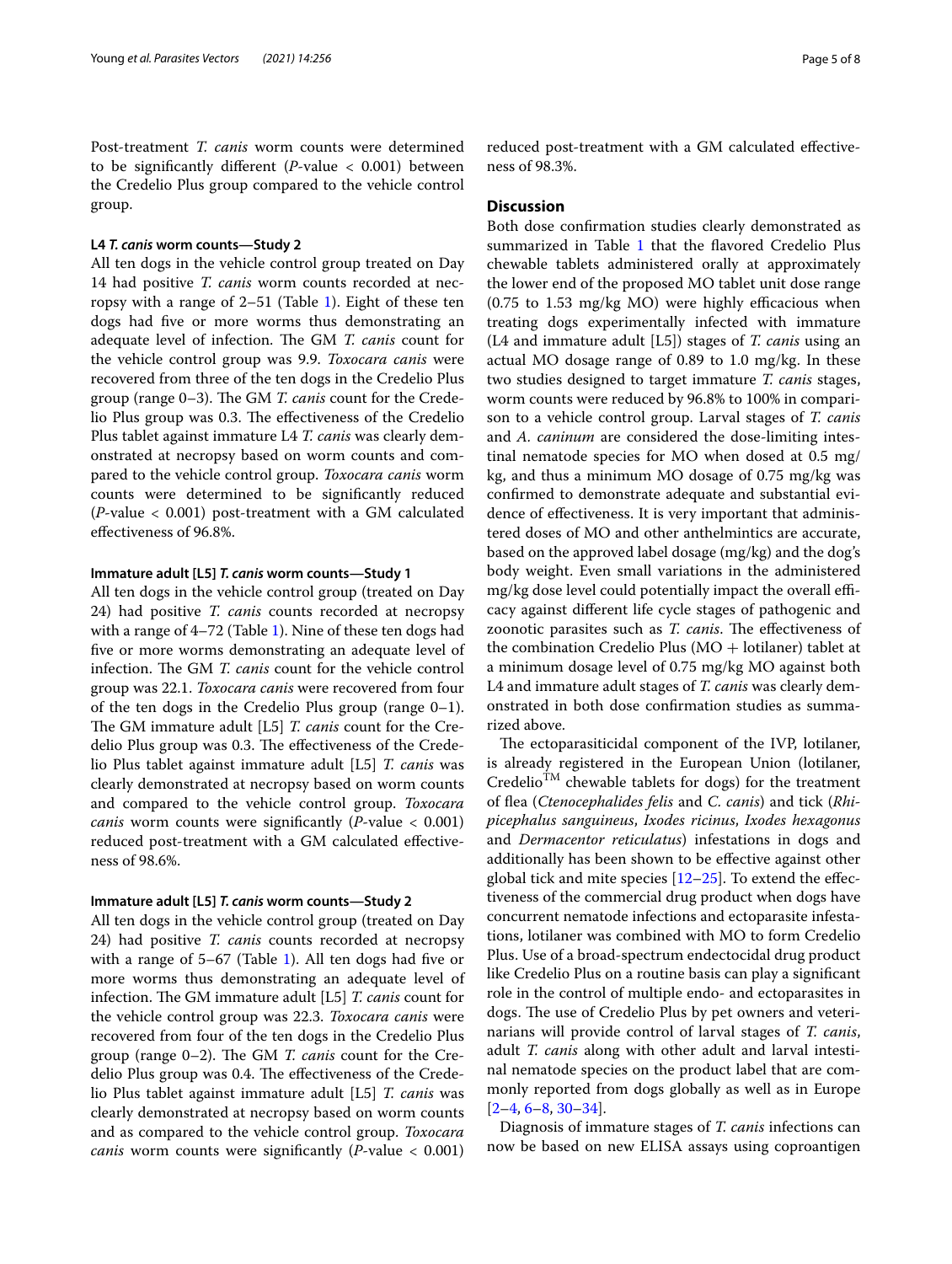Post-treatment *T. canis* worm counts were determined to be signifcantly diferent (*P*-value < 0.001) between the Credelio Plus group compared to the vehicle control group.

### **L4** *T. canis* **worm counts—Study 2**

All ten dogs in the vehicle control group treated on Day 14 had positive *T. canis* worm counts recorded at necropsy with a range of 2–51 (Table [1\)](#page-3-0). Eight of these ten dogs had fve or more worms thus demonstrating an adequate level of infection. The GM *T. canis* count for the vehicle control group was 9.9. *Toxocara canis* were recovered from three of the ten dogs in the Credelio Plus group (range 0–3). The GM *T. canis* count for the Credelio Plus group was 0.3. The effectiveness of the Credelio Plus tablet against immature L4 *T. canis* was clearly demonstrated at necropsy based on worm counts and compared to the vehicle control group. *Toxocara canis* worm counts were determined to be signifcantly reduced (*P*-value < 0.001) post-treatment with a GM calculated efectiveness of 96.8%.

# **Immature adult [L5]** *T. canis* **worm counts—Study 1**

All ten dogs in the vehicle control group (treated on Day 24) had positive *T. canis* counts recorded at necropsy with a range of 4–72 (Table [1\)](#page-3-0). Nine of these ten dogs had fve or more worms demonstrating an adequate level of infection. The GM *T. canis* count for the vehicle control group was 22.1. *Toxocara canis* were recovered from four of the ten dogs in the Credelio Plus group (range 0–1). The GM immature adult [L5] *T. canis* count for the Credelio Plus group was 0.3. The effectiveness of the Credelio Plus tablet against immature adult [L5] *T. canis* was clearly demonstrated at necropsy based on worm counts and compared to the vehicle control group. *Toxocara canis* worm counts were signifcantly (*P*-value < 0.001) reduced post-treatment with a GM calculated efectiveness of 98.6%.

### **Immature adult [L5]** *T. canis* **worm counts—Study 2**

All ten dogs in the vehicle control group (treated on Day 24) had positive *T. canis* counts recorded at necropsy with a range of 5–67 (Table [1\)](#page-3-0). All ten dogs had five or more worms thus demonstrating an adequate level of infection. The GM immature adult [L5] *T. canis* count for the vehicle control group was 22.3. *Toxocara canis* were recovered from four of the ten dogs in the Credelio Plus group (range 0–2). The GM *T. canis* count for the Credelio Plus group was 0.4. The effectiveness of the Credelio Plus tablet against immature adult [L5] *T. canis* was clearly demonstrated at necropsy based on worm counts and as compared to the vehicle control group. *Toxocara canis* worm counts were signifcantly (*P*-value < 0.001) reduced post-treatment with a GM calculated efectiveness of 98.3%.

# **Discussion**

Both dose confrmation studies clearly demonstrated as summarized in Table [1](#page-3-0) that the flavored Credelio Plus chewable tablets administered orally at approximately the lower end of the proposed MO tablet unit dose range  $(0.75$  to  $1.53$  mg/kg MO) were highly efficacious when treating dogs experimentally infected with immature (L4 and immature adult [L5]) stages of *T. canis* using an actual MO dosage range of 0.89 to 1.0 mg/kg. In these two studies designed to target immature *T. canis* stages, worm counts were reduced by 96.8% to 100% in comparison to a vehicle control group. Larval stages of *T. canis* and *A. caninum* are considered the dose-limiting intestinal nematode species for MO when dosed at 0.5 mg/ kg, and thus a minimum MO dosage of 0.75 mg/kg was confrmed to demonstrate adequate and substantial evidence of efectiveness. It is very important that administered doses of MO and other anthelmintics are accurate, based on the approved label dosage (mg/kg) and the dog's body weight. Even small variations in the administered mg/kg dose level could potentially impact the overall efficacy against diferent life cycle stages of pathogenic and zoonotic parasites such as *T. canis*. The effectiveness of the combination Credelio Plus  $(MO + Iotilan)$  tablet at a minimum dosage level of 0.75 mg/kg MO against both L4 and immature adult stages of *T. canis* was clearly demonstrated in both dose confrmation studies as summarized above.

The ectoparasiticidal component of the IVP, lotilaner, is already registered in the European Union (lotilaner,  $Credelio^{TM}$  chewable tablets for dogs) for the treatment of fea (*Ctenocephalides felis* and *C. canis*) and tick (*Rhipicephalus sanguineus*, *Ixodes ricinus*, *Ixodes hexagonus* and *Dermacentor reticulatus*) infestations in dogs and additionally has been shown to be efective against other global tick and mite species  $[12–25]$  $[12–25]$  $[12–25]$  $[12–25]$ . To extend the effectiveness of the commercial drug product when dogs have concurrent nematode infections and ectoparasite infestations, lotilaner was combined with MO to form Credelio Plus. Use of a broad-spectrum endectocidal drug product like Credelio Plus on a routine basis can play a signifcant role in the control of multiple endo- and ectoparasites in dogs. The use of Credelio Plus by pet owners and veterinarians will provide control of larval stages of *T. canis*, adult *T. canis* along with other adult and larval intestinal nematode species on the product label that are commonly reported from dogs globally as well as in Europe  $[2-4, 6-8, 30-34].$  $[2-4, 6-8, 30-34].$  $[2-4, 6-8, 30-34].$  $[2-4, 6-8, 30-34].$  $[2-4, 6-8, 30-34].$  $[2-4, 6-8, 30-34].$ 

Diagnosis of immature stages of *T. canis* infections can now be based on new ELISA assays using coproantigen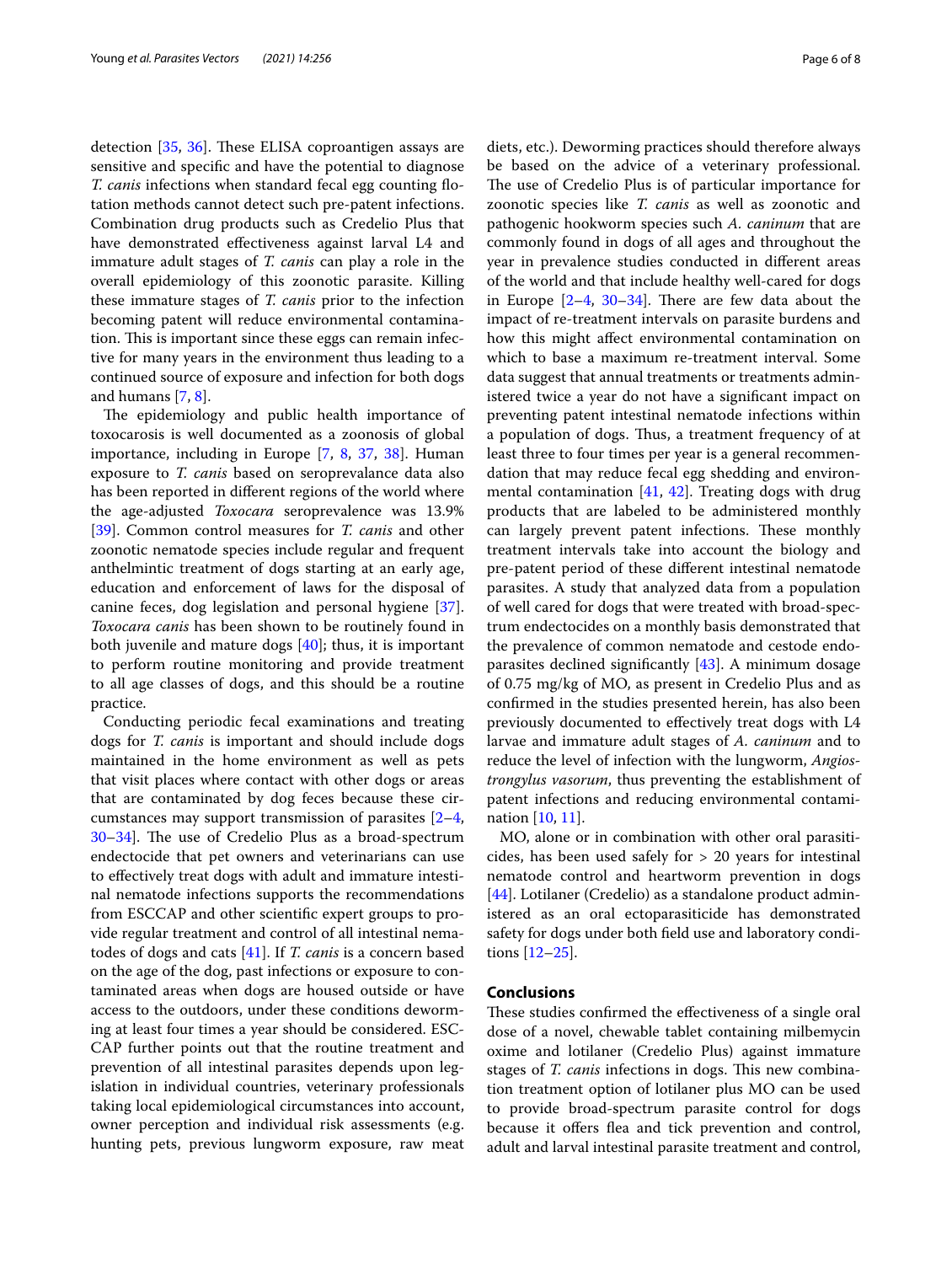detection  $[35, 36]$  $[35, 36]$  $[35, 36]$  $[35, 36]$ . These ELISA coproantigen assays are sensitive and specifc and have the potential to diagnose *T. canis* infections when standard fecal egg counting fotation methods cannot detect such pre-patent infections. Combination drug products such as Credelio Plus that have demonstrated efectiveness against larval L4 and immature adult stages of *T. canis* can play a role in the overall epidemiology of this zoonotic parasite. Killing these immature stages of *T. canis* prior to the infection becoming patent will reduce environmental contamination. This is important since these eggs can remain infective for many years in the environment thus leading to a continued source of exposure and infection for both dogs and humans [\[7](#page-6-10), [8\]](#page-6-4).

The epidemiology and public health importance of toxocarosis is well documented as a zoonosis of global importance, including in Europe [[7,](#page-6-10) [8,](#page-6-4) [37](#page-7-7), [38](#page-7-8)]. Human exposure to *T. canis* based on seroprevalance data also has been reported in diferent regions of the world where the age-adjusted *Toxocara* seroprevalence was 13.9% [[39\]](#page-7-9). Common control measures for *T. canis* and other zoonotic nematode species include regular and frequent anthelmintic treatment of dogs starting at an early age, education and enforcement of laws for the disposal of canine feces, dog legislation and personal hygiene [\[37](#page-7-7)]. *Toxocara canis* has been shown to be routinely found in both juvenile and mature dogs [\[40](#page-7-10)]; thus, it is important to perform routine monitoring and provide treatment to all age classes of dogs, and this should be a routine practice.

Conducting periodic fecal examinations and treating dogs for *T. canis* is important and should include dogs maintained in the home environment as well as pets that visit places where contact with other dogs or areas that are contaminated by dog feces because these circumstances may support transmission of parasites [[2](#page-6-9)[–4](#page-6-1),  $30-34$  $30-34$ . The use of Credelio Plus as a broad-spectrum endectocide that pet owners and veterinarians can use to efectively treat dogs with adult and immature intestinal nematode infections supports the recommendations from ESCCAP and other scientifc expert groups to provide regular treatment and control of all intestinal nematodes of dogs and cats [[41\]](#page-7-11). If *T. canis* is a concern based on the age of the dog, past infections or exposure to contaminated areas when dogs are housed outside or have access to the outdoors, under these conditions deworming at least four times a year should be considered. ESC-CAP further points out that the routine treatment and prevention of all intestinal parasites depends upon legislation in individual countries, veterinary professionals taking local epidemiological circumstances into account, owner perception and individual risk assessments (e.g. hunting pets, previous lungworm exposure, raw meat diets, etc.). Deworming practices should therefore always be based on the advice of a veterinary professional. The use of Credelio Plus is of particular importance for zoonotic species like *T. canis* as well as zoonotic and pathogenic hookworm species such *A. caninum* that are commonly found in dogs of all ages and throughout the year in prevalence studies conducted in diferent areas of the world and that include healthy well-cared for dogs in Europe  $[2-4, 30-34]$  $[2-4, 30-34]$  $[2-4, 30-34]$  $[2-4, 30-34]$ . There are few data about the impact of re-treatment intervals on parasite burdens and how this might afect environmental contamination on which to base a maximum re-treatment interval. Some data suggest that annual treatments or treatments administered twice a year do not have a signifcant impact on preventing patent intestinal nematode infections within a population of dogs. Thus, a treatment frequency of at least three to four times per year is a general recommendation that may reduce fecal egg shedding and environmental contamination [[41,](#page-7-11) [42](#page-7-12)]. Treating dogs with drug products that are labeled to be administered monthly can largely prevent patent infections. These monthly treatment intervals take into account the biology and pre-patent period of these diferent intestinal nematode parasites. A study that analyzed data from a population of well cared for dogs that were treated with broad-spectrum endectocides on a monthly basis demonstrated that the prevalence of common nematode and cestode endoparasites declined signifcantly [[43\]](#page-7-13). A minimum dosage of 0.75 mg/kg of MO, as present in Credelio Plus and as confrmed in the studies presented herein, has also been previously documented to efectively treat dogs with L4 larvae and immature adult stages of *A. caninum* and to reduce the level of infection with the lungworm, *Angiostrongylus vasorum*, thus preventing the establishment of patent infections and reducing environmental contamination [[10](#page-6-6), [11\]](#page-6-7).

MO, alone or in combination with other oral parasiticides, has been used safely for > 20 years for intestinal nematode control and heartworm prevention in dogs [[44\]](#page-7-14). Lotilaner (Credelio) as a standalone product administered as an oral ectoparasiticide has demonstrated safety for dogs under both feld use and laboratory conditions [[12](#page-6-8)[–25](#page-7-0)].

# **Conclusions**

These studies confirmed the effectiveness of a single oral dose of a novel, chewable tablet containing milbemycin oxime and lotilaner (Credelio Plus) against immature stages of *T. canis* infections in dogs. This new combination treatment option of lotilaner plus MO can be used to provide broad-spectrum parasite control for dogs because it offers flea and tick prevention and control, adult and larval intestinal parasite treatment and control,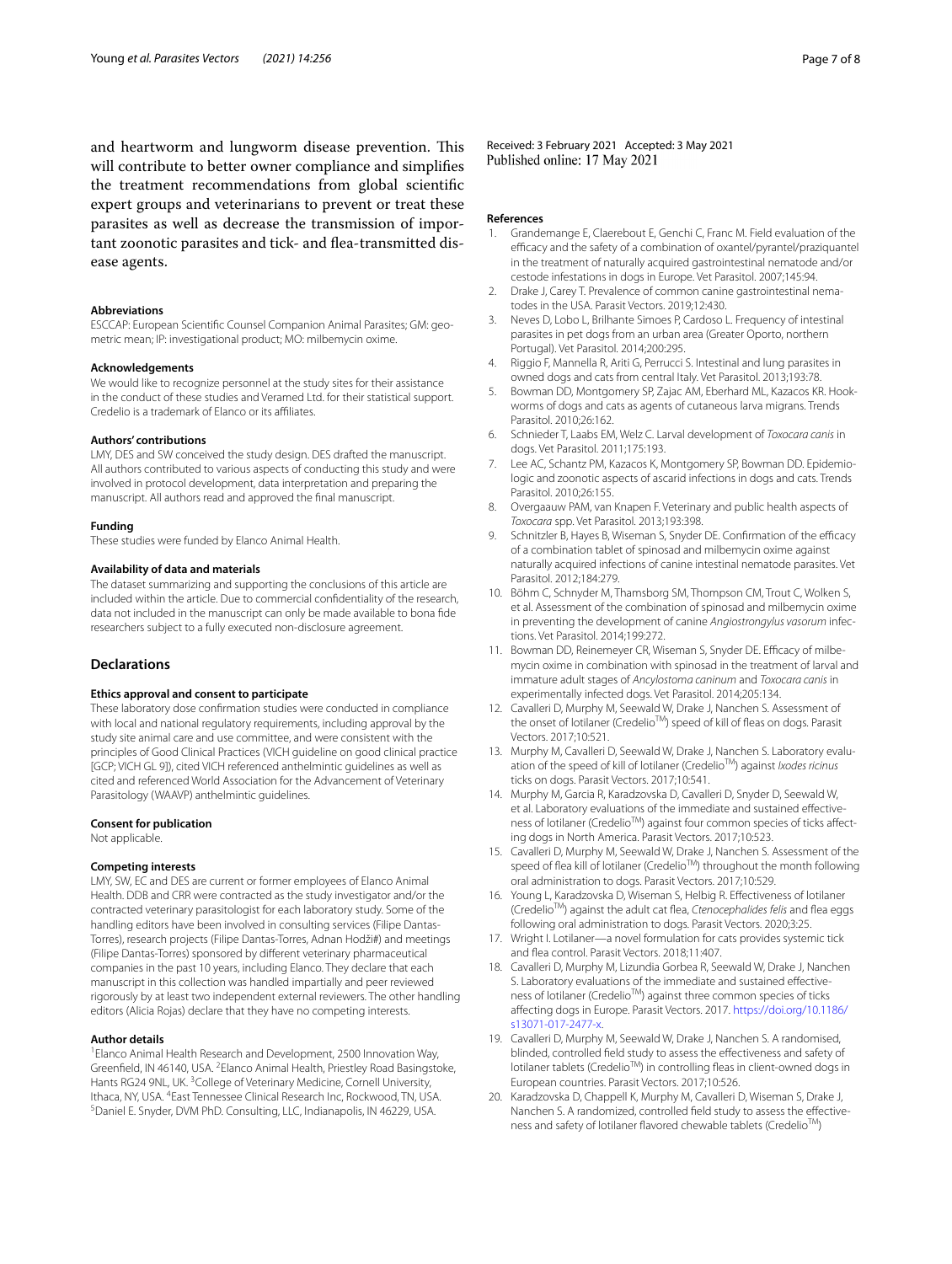and heartworm and lungworm disease prevention. This will contribute to better owner compliance and simplifes the treatment recommendations from global scientifc expert groups and veterinarians to prevent or treat these parasites as well as decrease the transmission of important zoonotic parasites and tick- and fea-transmitted disease agents.

### **Abbreviations**

ESCCAP: European Scientifc Counsel Companion Animal Parasites; GM: geometric mean; IP: investigational product; MO: milbemycin oxime.

#### **Acknowledgements**

We would like to recognize personnel at the study sites for their assistance in the conduct of these studies and Veramed Ltd. for their statistical support. Credelio is a trademark of Elanco or its affiliates.

#### **Authors' contributions**

LMY, DES and SW conceived the study design. DES drafted the manuscript. All authors contributed to various aspects of conducting this study and were involved in protocol development, data interpretation and preparing the manuscript. All authors read and approved the fnal manuscript.

#### **Funding**

These studies were funded by Elanco Animal Health.

#### **Availability of data and materials**

The dataset summarizing and supporting the conclusions of this article are included within the article. Due to commercial confdentiality of the research, data not included in the manuscript can only be made available to bona fde researchers subject to a fully executed non-disclosure agreement.

### **Declarations**

### **Ethics approval and consent to participate**

These laboratory dose confrmation studies were conducted in compliance with local and national regulatory requirements, including approval by the study site animal care and use committee, and were consistent with the principles of Good Clinical Practices (VICH guideline on good clinical practice [GCP; VICH GL 9]), cited VICH referenced anthelmintic guidelines as well as cited and referenced World Association for the Advancement of Veterinary Parasitology (WAAVP) anthelmintic guidelines.

#### **Consent for publication**

Not applicable.

### **Competing interests**

LMY, SW, EC and DES are current or former employees of Elanco Animal Health. DDB and CRR were contracted as the study investigator and/or the contracted veterinary parasitologist for each laboratory study. Some of the handling editors have been involved in consulting services (Filipe Dantas-Torres), research projects (Filipe Dantas-Torres, Adnan Hodži#) and meetings (Filipe Dantas-Torres) sponsored by diferent veterinary pharmaceutical companies in the past 10 years, including Elanco. They declare that each manuscript in this collection was handled impartially and peer reviewed rigorously by at least two independent external reviewers. The other handling editors (Alicia Rojas) declare that they have no competing interests.

#### **Author details**

<sup>1</sup> Elanco Animal Health Research and Development, 2500 Innovation Way, Greenfield, IN 46140, USA. <sup>2</sup> Elanco Animal Health, Priestley Road Basingstoke, Hants RG24 9NL, UK.<sup>3</sup> College of Veterinary Medicine, Cornell University, Ithaca, NY, USA. <sup>4</sup>East Tennessee Clinical Research Inc, Rockwood, TN, USA.<br><sup>5</sup>Daniel E. Spyder, DVM PhD, Consulting, LLC, Indianapolis, IN 46229, LISA. <sup>5</sup> Daniel E. Snyder, DVM PhD. Consulting, LLC, Indianapolis, IN 46229, USA.

Received: 3 February 2021 Accepted: 3 May 2021<br>Published online: 17 May 2021

#### **References**

- <span id="page-6-0"></span>1. Grandemange E, Claerebout E, Genchi C, Franc M. Field evaluation of the efficacy and the safety of a combination of oxantel/pyrantel/praziquantel in the treatment of naturally acquired gastrointestinal nematode and/or cestode infestations in dogs in Europe. Vet Parasitol. 2007;145:94.
- <span id="page-6-9"></span>2. Drake J, Carey T. Prevalence of common canine gastrointestinal nematodes in the USA. Parasit Vectors. 2019;12:430.
- 3. Neves D, Lobo L, Brilhante Simoes P, Cardoso L. Frequency of intestinal parasites in pet dogs from an urban area (Greater Oporto, northern Portugal). Vet Parasitol. 2014;200:295.
- <span id="page-6-1"></span>4. Riggio F, Mannella R, Ariti G, Perrucci S. Intestinal and lung parasites in owned dogs and cats from central Italy. Vet Parasitol. 2013;193:78.
- <span id="page-6-2"></span>5. Bowman DD, Montgomery SP, Zajac AM, Eberhard ML, Kazacos KR. Hookworms of dogs and cats as agents of cutaneous larva migrans. Trends Parasitol. 2010;26:162.
- <span id="page-6-3"></span>6. Schnieder T, Laabs EM, Welz C. Larval development of *Toxocara canis* in dogs. Vet Parasitol. 2011;175:193.
- <span id="page-6-10"></span>Lee AC, Schantz PM, Kazacos K, Montgomery SP, Bowman DD. Epidemiologic and zoonotic aspects of ascarid infections in dogs and cats. Trends Parasitol. 2010;26:155.
- <span id="page-6-4"></span>8. Overgaauw PAM, van Knapen F. Veterinary and public health aspects of *Toxocara* spp. Vet Parasitol. 2013;193:398.
- <span id="page-6-5"></span>Schnitzler B, Hayes B, Wiseman S, Snyder DE. Confirmation of the efficacy of a combination tablet of spinosad and milbemycin oxime against naturally acquired infections of canine intestinal nematode parasites. Vet Parasitol. 2012;184:279.
- <span id="page-6-6"></span>10. Böhm C, Schnyder M, Thamsborg SM, Thompson CM, Trout C, Wolken S, et al. Assessment of the combination of spinosad and milbemycin oxime in preventing the development of canine *Angiostrongylus vasorum* infections. Vet Parasitol. 2014;199:272.
- <span id="page-6-7"></span>11. Bowman DD, Reinemeyer CR, Wiseman S, Snyder DE. Efficacy of milbemycin oxime in combination with spinosad in the treatment of larval and immature adult stages of *Ancylostoma caninum* and *Toxocara canis* in experimentally infected dogs. Vet Parasitol. 2014;205:134.
- <span id="page-6-8"></span>12. Cavalleri D, Murphy M, Seewald W, Drake J, Nanchen S. Assessment of the onset of lotilaner (Credelio™) speed of kill of fleas on dogs. Parasit Vectors. 2017;10:521.
- 13. Murphy M, Cavalleri D, Seewald W, Drake J, Nanchen S. Laboratory evaluation of the speed of kill of lotilaner (CredelioTM) against *Ixodes ricinus* ticks on dogs. Parasit Vectors. 2017;10:541.
- 14. Murphy M, Garcia R, Karadzovska D, Cavalleri D, Snyder D, Seewald W, et al. Laboratory evaluations of the immediate and sustained efectiveness of lotilaner (Credelio<sup>TM</sup>) against four common species of ticks affecting dogs in North America. Parasit Vectors. 2017;10:523.
- 15. Cavalleri D, Murphy M, Seewald W, Drake J, Nanchen S. Assessment of the speed of flea kill of lotilaner (Credelio<sup>TM</sup>) throughout the month following oral administration to dogs. Parasit Vectors. 2017;10:529.
- 16. Young L, Karadzovska D, Wiseman S, Helbig R. Efectiveness of lotilaner (CredelioTM) against the adult cat fea, *Ctenocephalides felis* and fea eggs following oral administration to dogs. Parasit Vectors. 2020;3:25.
- 17. Wright I. Lotilaner—a novel formulation for cats provides systemic tick and fea control. Parasit Vectors. 2018;11:407.
- 18. Cavalleri D, Murphy M, Lizundia Gorbea R, Seewald W, Drake J, Nanchen S. Laboratory evaluations of the immediate and sustained efectiveness of lotilaner (Credelio<sup>™</sup>) against three common species of ticks afecting dogs in Europe. Parasit Vectors. 2017. [https://doi.org/10.1186/](https://doi.org/10.1186/s13071-017-2477-x) [s13071-017-2477-x](https://doi.org/10.1186/s13071-017-2477-x).
- 19. Cavalleri D, Murphy M, Seewald W, Drake J, Nanchen S. A randomised, blinded, controlled feld study to assess the efectiveness and safety of lotilaner tablets (CredelioTM) in controlling feas in client-owned dogs in European countries. Parasit Vectors. 2017;10:526.
- 20. Karadzovska D, Chappell K, Murphy M, Cavalleri D, Wiseman S, Drake J, Nanchen S. A randomized, controlled feld study to assess the efectiveness and safety of lotilaner flavored chewable tablets (Credelio<sup>™</sup>)